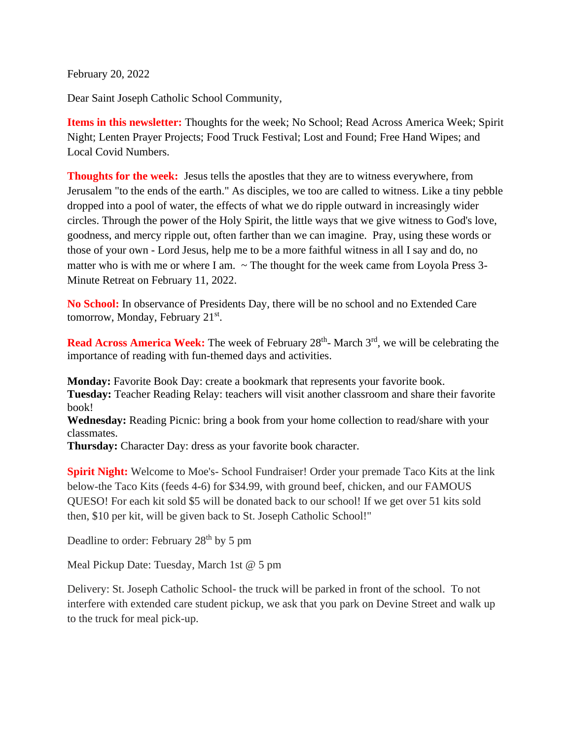February 20, 2022

Dear Saint Joseph Catholic School Community,

**Items in this newsletter:** Thoughts for the week; No School; Read Across America Week; Spirit Night; Lenten Prayer Projects; Food Truck Festival; Lost and Found; Free Hand Wipes; and Local Covid Numbers.

**Thoughts for the week:** Jesus tells the apostles that they are to witness everywhere, from Jerusalem "to the ends of the earth." As disciples, we too are called to witness. Like a tiny pebble dropped into a pool of water, the effects of what we do ripple outward in increasingly wider circles. Through the power of the Holy Spirit, the little ways that we give witness to God's love, goodness, and mercy ripple out, often farther than we can imagine. Pray, using these words or those of your own - Lord Jesus, help me to be a more faithful witness in all I say and do, no matter who is with me or where I am.  $\sim$  The thought for the week came from Loyola Press 3-Minute Retreat on February 11, 2022.

**No School:** In observance of Presidents Day, there will be no school and no Extended Care tomorrow, Monday, February 21<sup>st</sup>.

Read Across America Week: The week of February 28<sup>th</sup>- March 3<sup>rd</sup>, we will be celebrating the importance of reading with fun-themed days and activities.

**Monday:** Favorite Book Day: create a bookmark that represents your favorite book. **Tuesday:** Teacher Reading Relay: teachers will visit another classroom and share their favorite book!

**Wednesday:** Reading Picnic: bring a book from your home collection to read/share with your classmates.

**Thursday:** Character Day: dress as your favorite book character.

**Spirit Night:** Welcome to Moe's- School Fundraiser! Order your premade Taco Kits at the link below-the Taco Kits (feeds 4-6) for \$34.99, with ground beef, chicken, and our FAMOUS QUESO! For each kit sold \$5 will be donated back to our school! If we get over 51 kits sold then, \$10 per kit, will be given back to St. Joseph Catholic School!"

Deadline to order: February 28<sup>th</sup> by 5 pm

Meal Pickup Date: Tuesday, March 1st @ 5 pm

Delivery: St. Joseph Catholic School- the truck will be parked in front of the school. To not interfere with extended care student pickup, we ask that you park on Devine Street and walk up to the truck for meal pick-up.